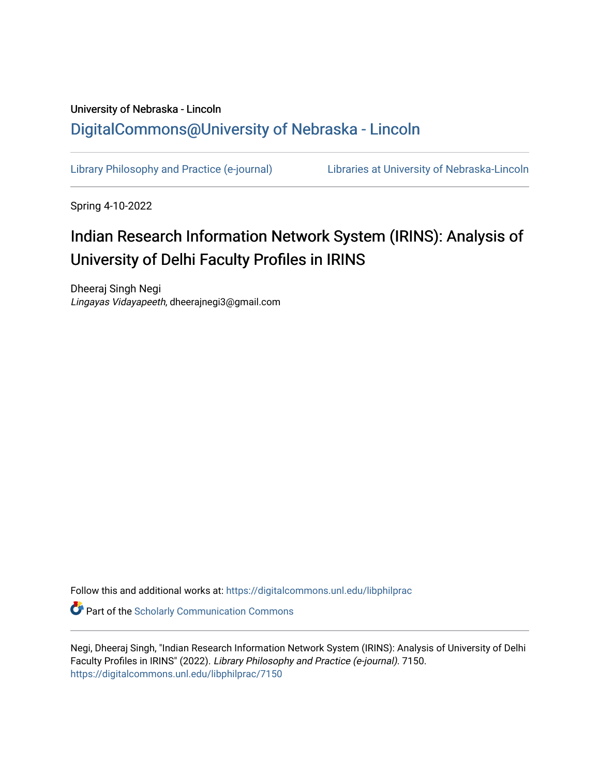### University of Nebraska - Lincoln [DigitalCommons@University of Nebraska - Lincoln](https://digitalcommons.unl.edu/)

[Library Philosophy and Practice \(e-journal\)](https://digitalcommons.unl.edu/libphilprac) [Libraries at University of Nebraska-Lincoln](https://digitalcommons.unl.edu/libraries) 

Spring 4-10-2022

### Indian Research Information Network System (IRINS): Analysis of University of Delhi Faculty Profiles in IRINS

Dheeraj Singh Negi Lingayas Vidayapeeth, dheerajnegi3@gmail.com

Follow this and additional works at: [https://digitalcommons.unl.edu/libphilprac](https://digitalcommons.unl.edu/libphilprac?utm_source=digitalcommons.unl.edu%2Flibphilprac%2F7150&utm_medium=PDF&utm_campaign=PDFCoverPages) 

**C** Part of the Scholarly Communication Commons

Negi, Dheeraj Singh, "Indian Research Information Network System (IRINS): Analysis of University of Delhi Faculty Profiles in IRINS" (2022). Library Philosophy and Practice (e-journal). 7150. [https://digitalcommons.unl.edu/libphilprac/7150](https://digitalcommons.unl.edu/libphilprac/7150?utm_source=digitalcommons.unl.edu%2Flibphilprac%2F7150&utm_medium=PDF&utm_campaign=PDFCoverPages)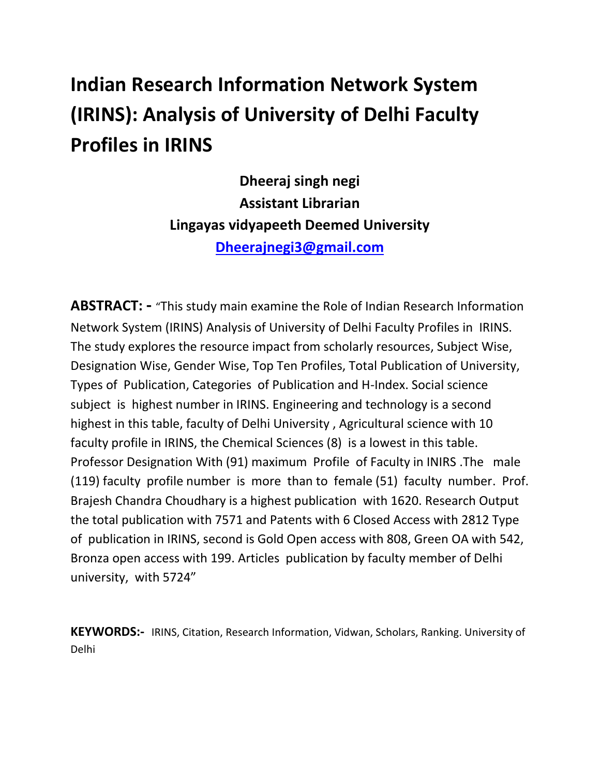# **Indian Research Information Network System (IRINS): Analysis of University of Delhi Faculty Profiles in IRINS**

**Dheeraj singh negi Assistant Librarian Lingayas vidyapeeth Deemed University [Dheerajnegi3@gmail.com](mailto:Dheerajnegi3@gmail.com)**

**ABSTRACT: -** "This study main examine the Role of Indian Research Information Network System (IRINS) Analysis of University of Delhi Faculty Profiles in IRINS. The study explores the resource impact from scholarly resources, Subject Wise, Designation Wise, Gender Wise, Top Ten Profiles, Total Publication of University, Types of Publication, Categories of Publication and H-Index. Social science subject is highest number in IRINS. Engineering and technology is a second highest in this table, faculty of Delhi University , Agricultural science with 10 faculty profile in IRINS, the Chemical Sciences (8) is a lowest in this table. Professor Designation With (91) maximum Profile of Faculty in INIRS .The male (119) faculty profile number is more than to female (51) faculty number. Prof. Brajesh Chandra Choudhary is a highest publication with 1620. Research Output the total publication with 7571 and Patents with 6 Closed Access with 2812 Type of publication in IRINS, second is Gold Open access with 808, Green OA with 542, Bronza open access with 199. Articles publication by faculty member of Delhi university, with 5724"

**KEYWORDS:-** IRINS, Citation, Research Information, Vidwan, Scholars, Ranking. University of Delhi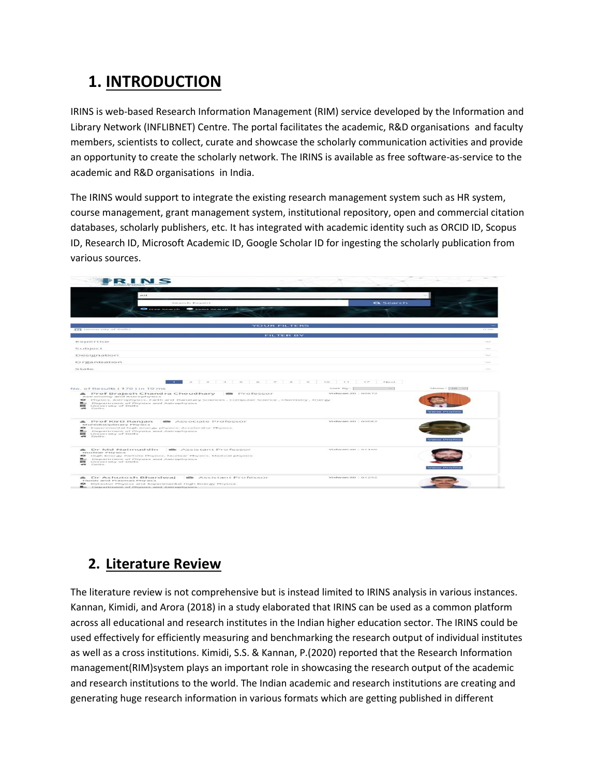### **1. INTRODUCTION**

IRINS is web-based Research Information Management (RIM) service developed by the Information and Library Network (INFLIBNET) Centre. The portal facilitates the academic, R&D organisations and faculty members, scientists to collect, curate and showcase the scholarly communication activities and provide an opportunity to create the scholarly network. The IRINS is available as free software-as-service to the academic and R&D organisations in India.

The IRINS would support to integrate the existing research management system such as HR system, course management, grant management system, institutional repository, open and commercial citation databases, scholarly publishers, etc. It has integrated with academic identity such as ORCID ID, Scopus ID, Research ID, Microsoft Academic ID, Google Scholar ID for ingesting the scholarly publication from various sources.



### **2. Literature Review**

The literature review is not comprehensive but is instead limited to IRINS analysis in various instances. Kannan, Kimidi, and Arora (2018) in a study elaborated that IRINS can be used as a common platform across all educational and research institutes in the Indian higher education sector. The IRINS could be used effectively for efficiently measuring and benchmarking the research output of individual institutes as well as a cross institutions. Kimidi, S.S. & Kannan, P.(2020) reported that the Research Information management(RIM)system plays an important role in showcasing the research output of the academic and research institutions to the world. The Indian academic and research institutions are creating and generating huge research information in various formats which are getting published in different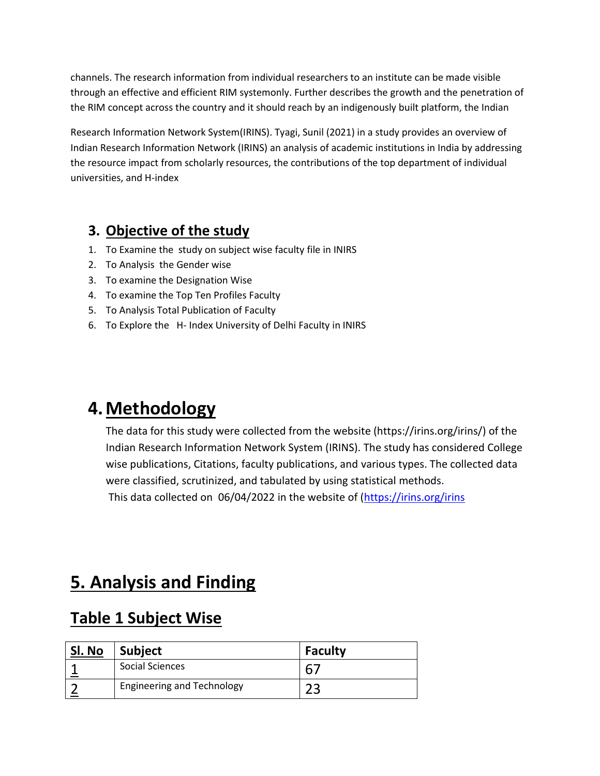channels. The research information from individual researchers to an institute can be made visible through an effective and efficient RIM systemonly. Further describes the growth and the penetration of the RIM concept across the country and it should reach by an indigenously built platform, the Indian

Research Information Network System(IRINS). Tyagi, Sunil (2021) in a study provides an overview of Indian Research Information Network (IRINS) an analysis of academic institutions in India by addressing the resource impact from scholarly resources, the contributions of the top department of individual universities, and H-index

#### **3. Objective of the study**

- 1. To Examine the study on subject wise faculty file in INIRS
- 2. To Analysis the Gender wise
- 3. To examine the Designation Wise
- 4. To examine the Top Ten Profiles Faculty
- 5. To Analysis Total Publication of Faculty
- 6. To Explore the H- Index University of Delhi Faculty in INIRS

### **4.Methodology**

The data for this study were collected from the website (https://irins.org/irins/) of the Indian Research Information Network System (IRINS). The study has considered College wise publications, Citations, faculty publications, and various types. The collected data were classified, scrutinized, and tabulated by using statistical methods.

This data collected on 06/04/2022 in the website of [\(https://irins.org/irins](https://irins.org/irins)

## **5. Analysis and Finding**

### **Table 1 Subject Wise**

| Sl. No | <b>Subject</b>                    | <b>Faculty</b> |
|--------|-----------------------------------|----------------|
|        | Social Sciences                   |                |
|        | <b>Engineering and Technology</b> | ר ר            |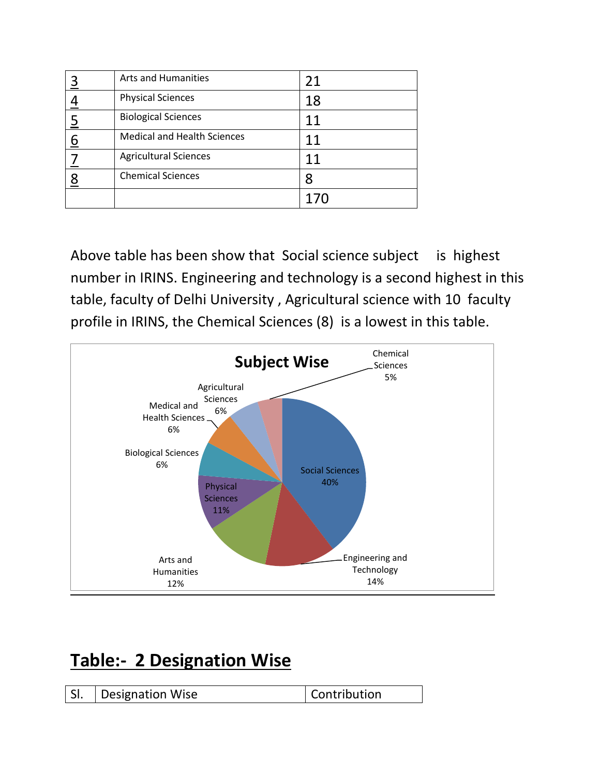|                | <b>Arts and Humanities</b>         | 21  |
|----------------|------------------------------------|-----|
|                | <b>Physical Sciences</b>           | 18  |
| $\overline{5}$ | <b>Biological Sciences</b>         | 11  |
| 6              | <b>Medical and Health Sciences</b> | 11  |
|                | <b>Agricultural Sciences</b>       | 11  |
| 8              | <b>Chemical Sciences</b>           | 8   |
|                |                                    | 170 |

Above table has been show that Social science subject is highest number in IRINS. Engineering and technology is a second highest in this table, faculty of Delhi University , Agricultural science with 10 faculty profile in IRINS, the Chemical Sciences (8) is a lowest in this table.



## **Table:- 2 Designation Wise**

| <b>Designation Wise</b><br>SI. | Contribution |
|--------------------------------|--------------|
|--------------------------------|--------------|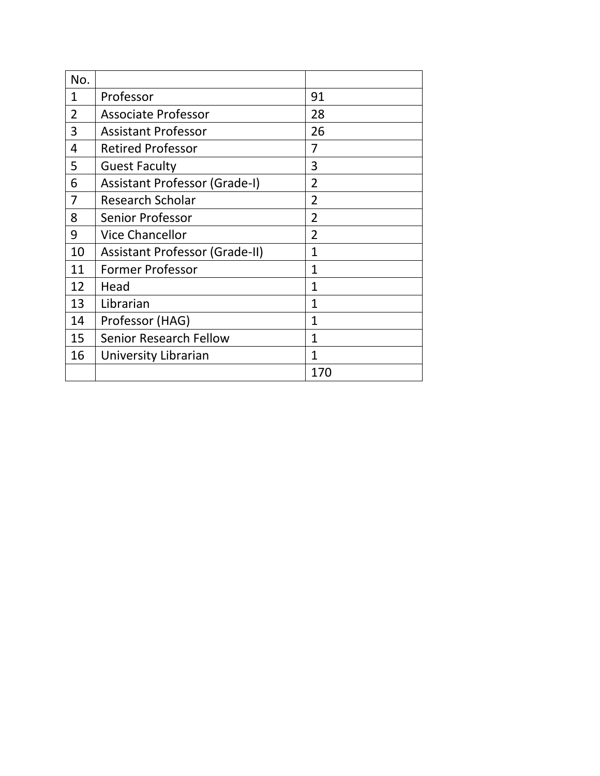| No.            |                                      |                |
|----------------|--------------------------------------|----------------|
| $\mathbf{1}$   | Professor                            | 91             |
| $\overline{2}$ | <b>Associate Professor</b>           | 28             |
| 3              | <b>Assistant Professor</b>           | 26             |
| 4              | <b>Retired Professor</b>             | 7              |
| 5              | <b>Guest Faculty</b>                 | 3              |
| 6              | <b>Assistant Professor (Grade-I)</b> | $\overline{2}$ |
| 7              | <b>Research Scholar</b>              | $\overline{2}$ |
| 8              | <b>Senior Professor</b>              | $\overline{2}$ |
| 9              | <b>Vice Chancellor</b>               | $\overline{2}$ |
| 10             | Assistant Professor (Grade-II)       | $\overline{1}$ |
| 11             | <b>Former Professor</b>              | $\mathbf{1}$   |
| 12             | Head                                 | $\mathbf{1}$   |
| 13             | Librarian                            | $\mathbf{1}$   |
| 14             | Professor (HAG)                      | $\mathbf{1}$   |
| 15             | <b>Senior Research Fellow</b>        | 1              |
| 16             | University Librarian                 | 1              |
|                |                                      | 170            |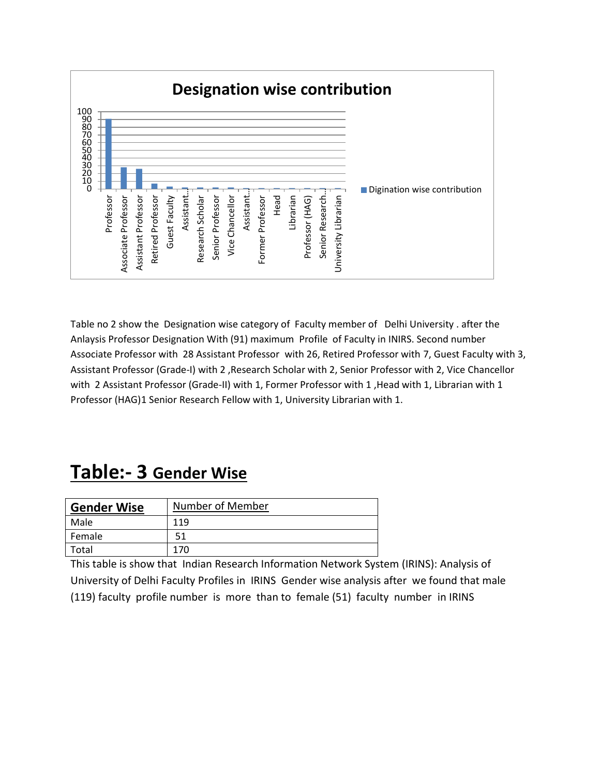

Table no 2 show the Designation wise category of Faculty member of Delhi University . after the Anlaysis Professor Designation With (91) maximum Profile of Faculty in INIRS. Second number Associate Professor with 28 Assistant Professor with 26, Retired Professor with 7, Guest Faculty with 3, Assistant Professor (Grade-I) with 2 ,Research Scholar with 2, Senior Professor with 2, Vice Chancellor with 2 Assistant Professor (Grade-II) with 1, Former Professor with 1, Head with 1, Librarian with 1 Professor (HAG)1 Senior Research Fellow with 1, University Librarian with 1.

### **Table:- 3 Gender Wise**

| <b>Gender Wise</b> | Number of Member |
|--------------------|------------------|
| Male               | 119              |
| Female             | 51               |
| Total              | 170              |

This table is show that Indian Research Information Network System (IRINS): Analysis of University of Delhi Faculty Profiles in IRINS Gender wise analysis after we found that male (119) faculty profile number is more than to female (51) faculty number in IRINS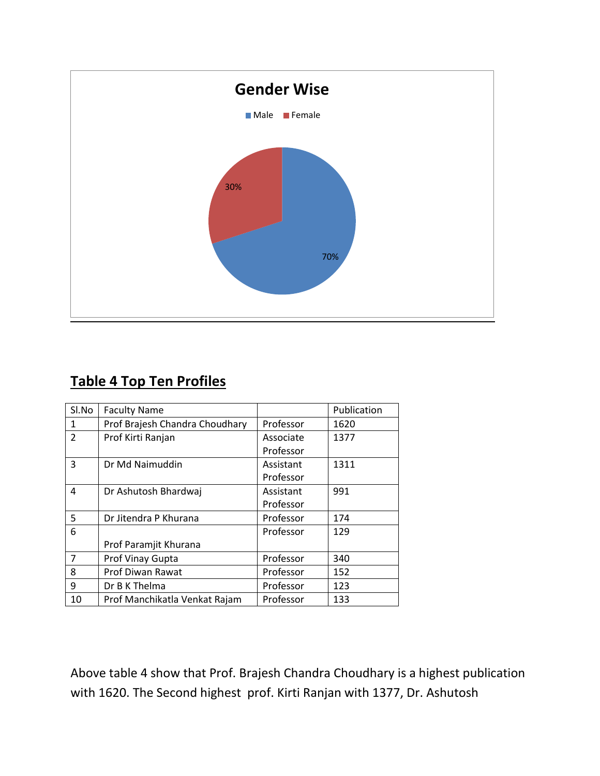

### **Table 4 Top Ten Profiles**

| Sl.No         | <b>Faculty Name</b>            |           | Publication |
|---------------|--------------------------------|-----------|-------------|
| 1             | Prof Brajesh Chandra Choudhary | Professor | 1620        |
| $\mathcal{P}$ | Prof Kirti Ranjan              | Associate | 1377        |
|               |                                | Professor |             |
| 3             | Dr Md Naimuddin                | Assistant | 1311        |
|               |                                | Professor |             |
| 4             | Dr Ashutosh Bhardwaj           | Assistant | 991         |
|               |                                | Professor |             |
| 5             | Dr Jitendra P Khurana          | Professor | 174         |
| 6             |                                | Professor | 129         |
|               | Prof Paramjit Khurana          |           |             |
| 7             | Prof Vinay Gupta               | Professor | 340         |
| 8             | Prof Diwan Rawat               | Professor | 152         |
| 9             | Dr B K Thelma                  | Professor | 123         |
| 10            | Prof Manchikatla Venkat Rajam  | Professor | 133         |

Above table 4 show that Prof. Brajesh Chandra Choudhary is a highest publication with 1620. The Second highest prof. Kirti Ranjan with 1377, Dr. Ashutosh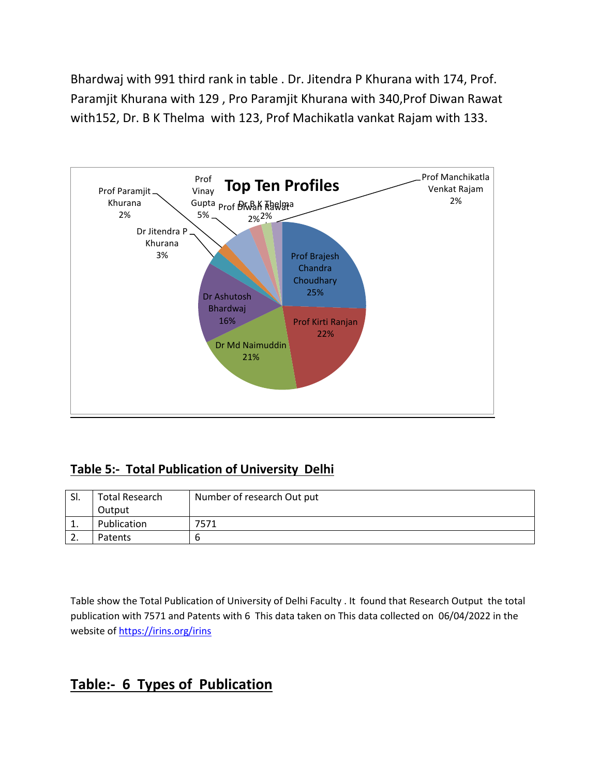Bhardwaj with 991 third rank in table . Dr. Jitendra P Khurana with 174, Prof. Paramjit Khurana with 129 , Pro Paramjit Khurana with 340,Prof Diwan Rawat with152, Dr. B K Thelma with 123, Prof Machikatla vankat Rajam with 133.



#### **Table 5:- Total Publication of University Delhi**

| SI.      | Total Research | Number of research Out put |
|----------|----------------|----------------------------|
|          | Output         |                            |
| <b>.</b> | Publication    | 7571                       |
| <u>.</u> | Patents        |                            |

Table show the Total Publication of University of Delhi Faculty . It found that Research Output the total publication with 7571 and Patents with 6 This data taken on This data collected on 06/04/2022 in the website of<https://irins.org/irins>

#### **Table:- 6 Types of Publication**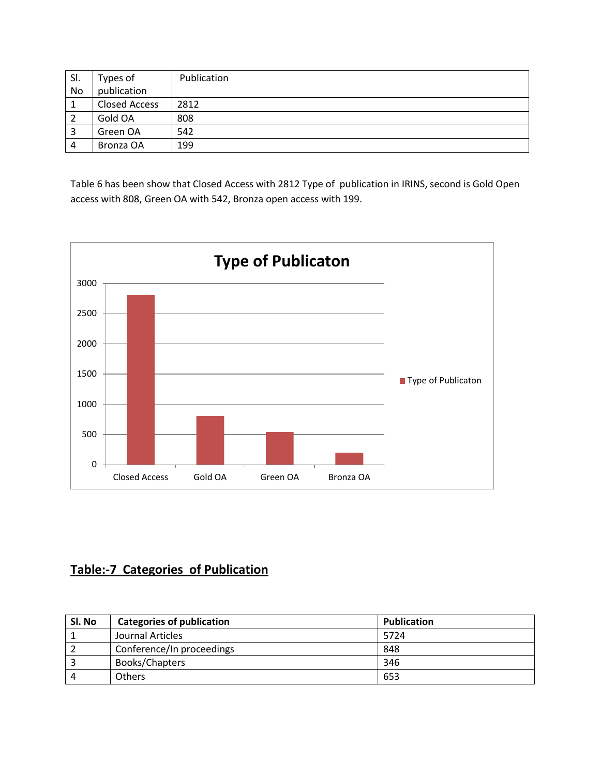| SI. | Types of      | Publication |
|-----|---------------|-------------|
| No  | publication   |             |
|     | Closed Access | 2812        |
|     | Gold OA       | 808         |
|     | Green OA      | 542         |
| 4   | Bronza OA     | 199         |

Table 6 has been show that Closed Access with 2812 Type of publication in IRINS, second is Gold Open access with 808, Green OA with 542, Bronza open access with 199.



#### **Table:-7 Categories of Publication**

| Sl. No | <b>Categories of publication</b> | <b>Publication</b> |
|--------|----------------------------------|--------------------|
|        | Journal Articles                 | 5724               |
|        | Conference/In proceedings        | 848                |
|        | Books/Chapters                   | 346                |
|        | <b>Others</b>                    | 653                |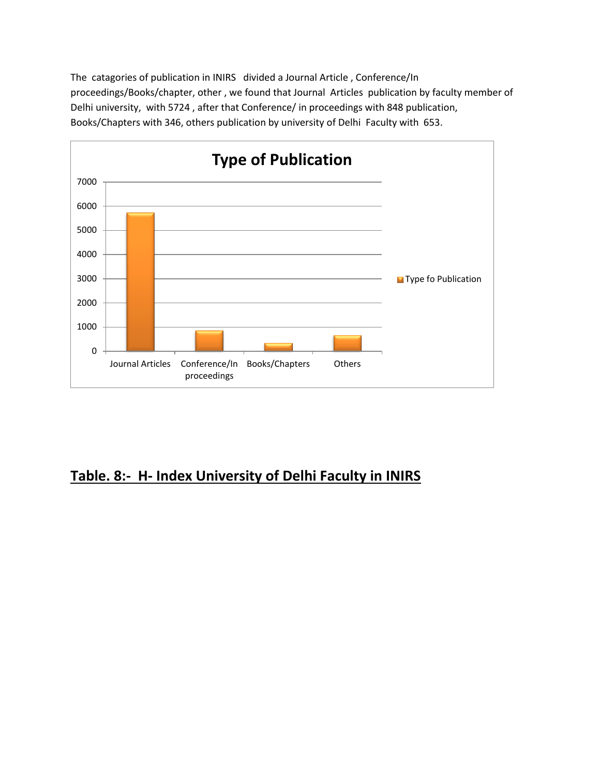The catagories of publication in INIRS divided a Journal Article , Conference/In proceedings/Books/chapter, other , we found that Journal Articles publication by faculty member of Delhi university, with 5724 , after that Conference/ in proceedings with 848 publication, Books/Chapters with 346, others publication by university of Delhi Faculty with 653.



#### **Table. 8:- H- Index University of Delhi Faculty in INIRS**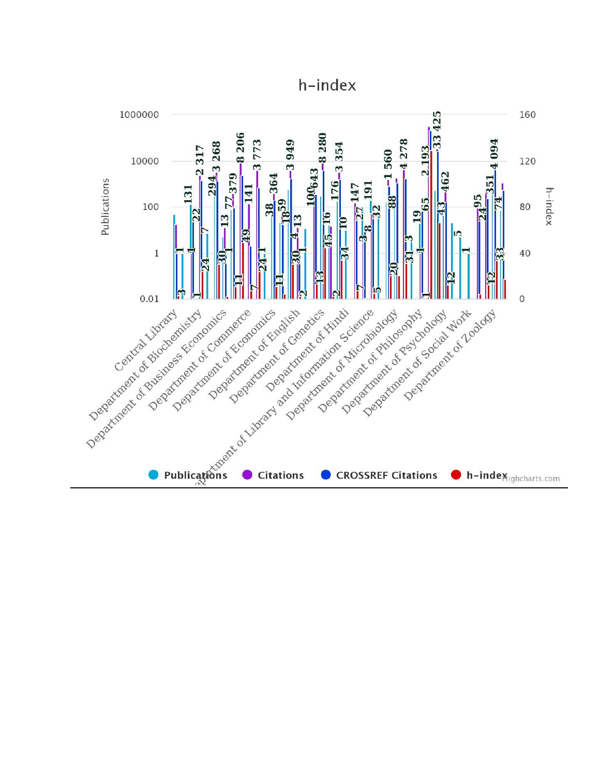h-index

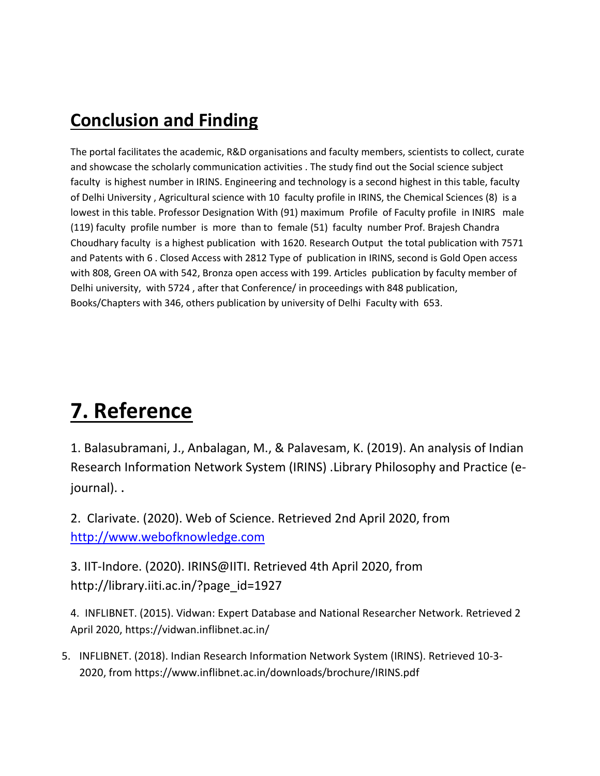### **Conclusion and Finding**

The portal facilitates the academic, R&D organisations and faculty members, scientists to collect, curate and showcase the scholarly communication activities . The study find out the Social science subject faculty is highest number in IRINS. Engineering and technology is a second highest in this table, faculty of Delhi University , Agricultural science with 10 faculty profile in IRINS, the Chemical Sciences (8) is a lowest in this table. Professor Designation With (91) maximum Profile of Faculty profile in INIRS male (119) faculty profile number is more than to female (51) faculty number Prof. Brajesh Chandra Choudhary faculty is a highest publication with 1620. Research Output the total publication with 7571 and Patents with 6 . Closed Access with 2812 Type of publication in IRINS, second is Gold Open access with 808, Green OA with 542, Bronza open access with 199. Articles publication by faculty member of Delhi university, with 5724 , after that Conference/ in proceedings with 848 publication, Books/Chapters with 346, others publication by university of Delhi Faculty with 653.

## **7. Reference**

1. Balasubramani, J., Anbalagan, M., & Palavesam, K. (2019). An analysis of Indian Research Information Network System (IRINS) .Library Philosophy and Practice (ejournal). .

2. Clarivate. (2020). Web of Science. Retrieved 2nd April 2020, from [http://www.webofknowledge.com](http://www.webofknowledge.com/)

3. IIT-Indore. (2020). IRINS@IITI. Retrieved 4th April 2020, from http://library.iiti.ac.in/?page\_id=1927

4. INFLIBNET. (2015). Vidwan: Expert Database and National Researcher Network. Retrieved 2 April 2020, https://vidwan.inflibnet.ac.in/

5. INFLIBNET. (2018). Indian Research Information Network System (IRINS). Retrieved 10-3- 2020, from https://www.inflibnet.ac.in/downloads/brochure/IRINS.pdf